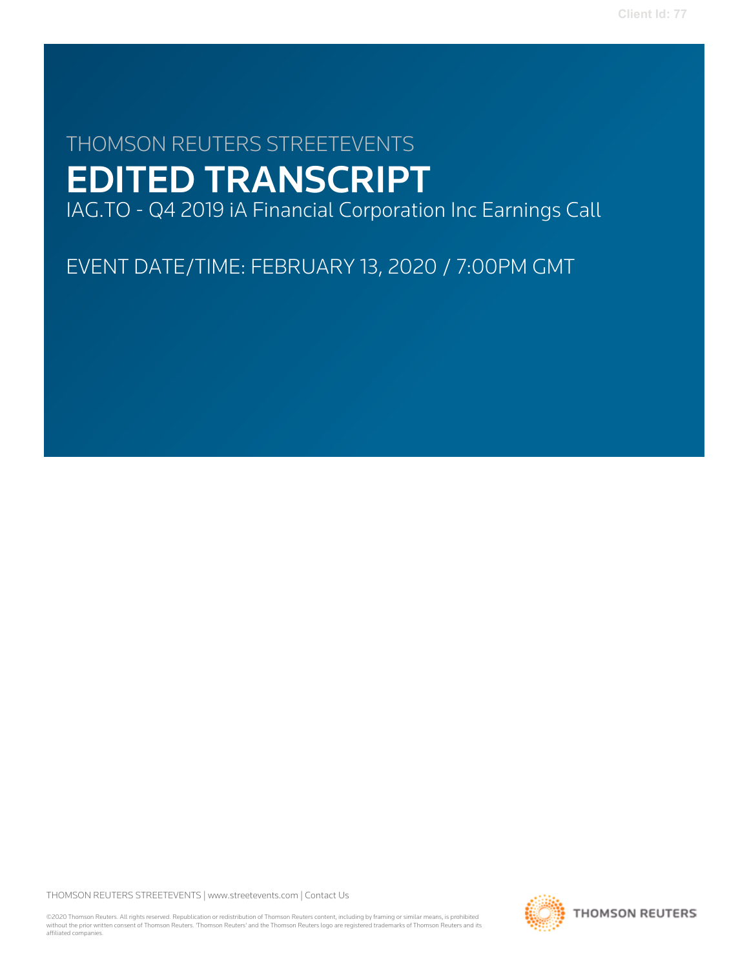# THOMSON REUTERS STREETEVENTS EDITED TRANSCRIPT

IAG.TO - Q4 2019 iA Financial Corporation Inc Earnings Call

EVENT DATE/TIME: FEBRUARY 13, 2020 / 7:00PM GMT

THOMSON REUTERS STREETEVENTS | [www.streetevents.com](http://www.streetevents.com) | [Contact Us](http://www010.streetevents.com/contact.asp)

©2020 Thomson Reuters. All rights reserved. Republication or redistribution of Thomson Reuters content, including by framing or similar means, is prohibited without the prior written consent of Thomson Reuters. 'Thomson Reuters' and the Thomson Reuters logo are registered trademarks of Thomson Reuters and its affiliated companies.

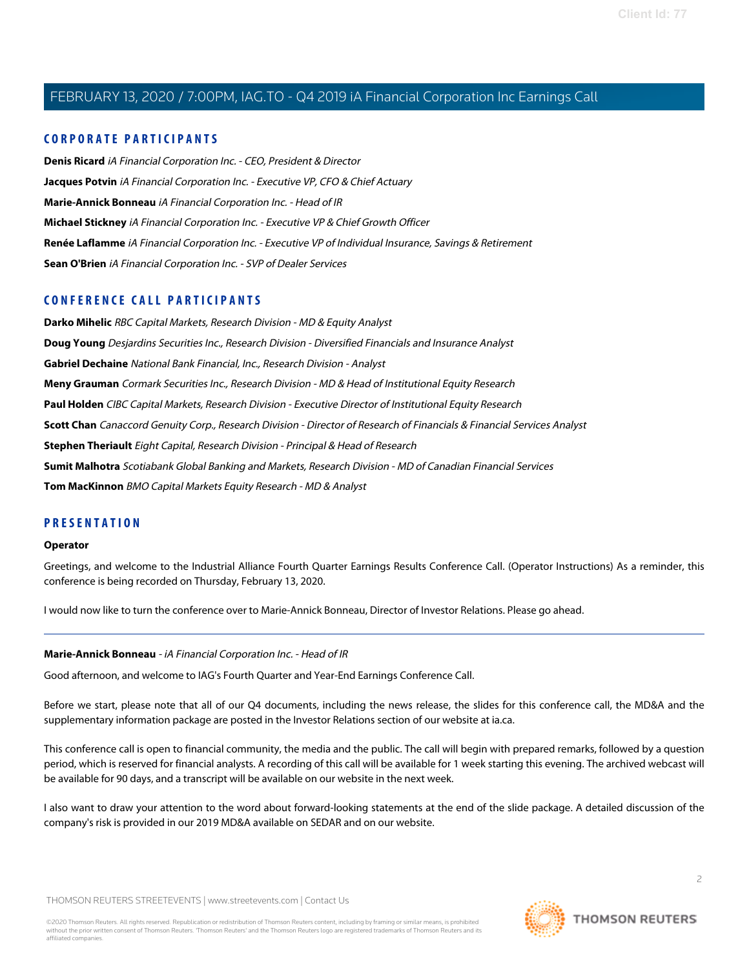# **CORPORATE PARTICIPANTS**

**[Denis Ricard](#page-2-0)** iA Financial Corporation Inc. - CEO, President & Director **[Jacques Potvin](#page-3-0)** iA Financial Corporation Inc. - Executive VP, CFO & Chief Actuary **[Marie-Annick Bonneau](#page-1-0)** iA Financial Corporation Inc. - Head of IR **[Michael Stickney](#page-3-1)** iA Financial Corporation Inc. - Executive VP & Chief Growth Officer **[Renée Laflamme](#page-6-0)** iA Financial Corporation Inc. - Executive VP of Individual Insurance, Savings & Retirement **[Sean O'Brien](#page-6-1)** iA Financial Corporation Inc. - SVP of Dealer Services

# **CONFERENCE CALL PARTICIPANTS**

**[Darko Mihelic](#page-14-0)** RBC Capital Markets, Research Division - MD & Equity Analyst **[Doug Young](#page-11-0)** Desjardins Securities Inc., Research Division - Diversified Financials and Insurance Analyst **[Gabriel Dechaine](#page-6-2)** National Bank Financial, Inc., Research Division - Analyst **[Meny Grauman](#page-5-0)** Cormark Securities Inc., Research Division - MD & Head of Institutional Equity Research **[Paul Holden](#page-10-0)** CIBC Capital Markets, Research Division - Executive Director of Institutional Equity Research **[Scott Chan](#page-15-0)** Canaccord Genuity Corp., Research Division - Director of Research of Financials & Financial Services Analyst **[Stephen Theriault](#page-7-0)** Eight Capital, Research Division - Principal & Head of Research **[Sumit Malhotra](#page-8-0)** Scotiabank Global Banking and Markets, Research Division - MD of Canadian Financial Services **[Tom MacKinnon](#page-13-0)** BMO Capital Markets Equity Research - MD & Analyst

# **PRESENTATION**

#### **Operator**

Greetings, and welcome to the Industrial Alliance Fourth Quarter Earnings Results Conference Call. (Operator Instructions) As a reminder, this conference is being recorded on Thursday, February 13, 2020.

<span id="page-1-0"></span>I would now like to turn the conference over to Marie-Annick Bonneau, Director of Investor Relations. Please go ahead.

# **Marie-Annick Bonneau** - iA Financial Corporation Inc. - Head of IR

Good afternoon, and welcome to IAG's Fourth Quarter and Year-End Earnings Conference Call.

Before we start, please note that all of our Q4 documents, including the news release, the slides for this conference call, the MD&A and the supplementary information package are posted in the Investor Relations section of our website at ia.ca.

This conference call is open to financial community, the media and the public. The call will begin with prepared remarks, followed by a question period, which is reserved for financial analysts. A recording of this call will be available for 1 week starting this evening. The archived webcast will be available for 90 days, and a transcript will be available on our website in the next week.

I also want to draw your attention to the word about forward-looking statements at the end of the slide package. A detailed discussion of the company's risk is provided in our 2019 MD&A available on SEDAR and on our website.

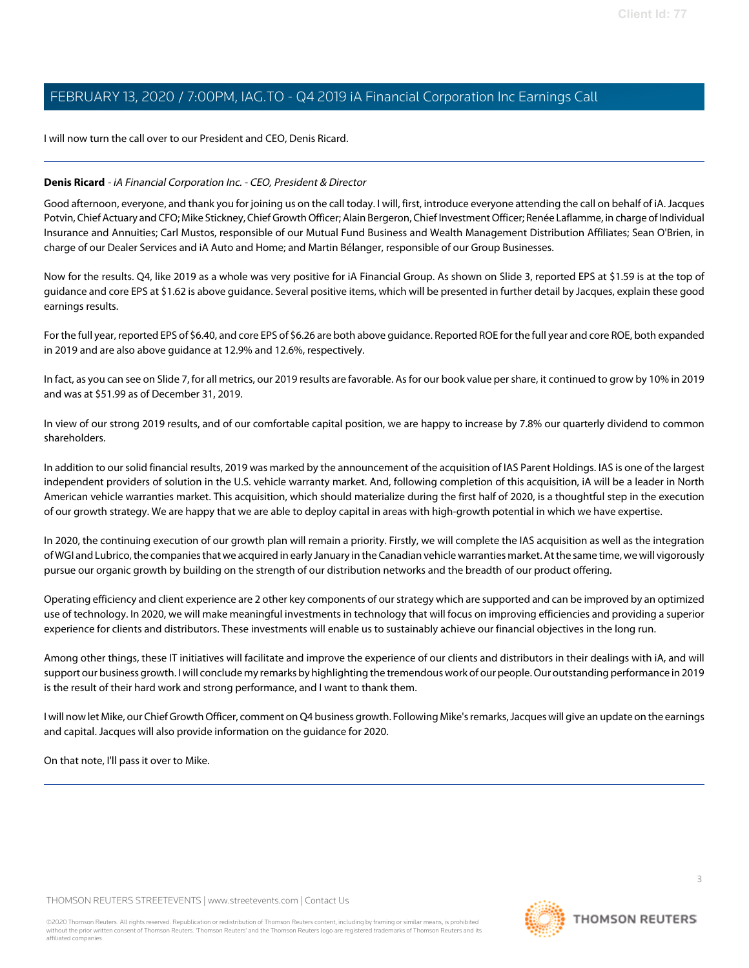I will now turn the call over to our President and CEO, Denis Ricard.

# <span id="page-2-0"></span>**Denis Ricard** - iA Financial Corporation Inc. - CEO, President & Director

Good afternoon, everyone, and thank you for joining us on the call today. I will, first, introduce everyone attending the call on behalf of iA. Jacques Potvin, Chief Actuary and CFO; Mike Stickney, Chief Growth Officer; Alain Bergeron, Chief Investment Officer; Renée Laflamme, in charge of Individual Insurance and Annuities; Carl Mustos, responsible of our Mutual Fund Business and Wealth Management Distribution Affiliates; Sean O'Brien, in charge of our Dealer Services and iA Auto and Home; and Martin Bélanger, responsible of our Group Businesses.

Now for the results. Q4, like 2019 as a whole was very positive for iA Financial Group. As shown on Slide 3, reported EPS at \$1.59 is at the top of guidance and core EPS at \$1.62 is above guidance. Several positive items, which will be presented in further detail by Jacques, explain these good earnings results.

For the full year, reported EPS of \$6.40, and core EPS of \$6.26 are both above guidance. Reported ROE for the full year and core ROE, both expanded in 2019 and are also above guidance at 12.9% and 12.6%, respectively.

In fact, as you can see on Slide 7, for all metrics, our 2019 results are favorable. As for our book value per share, it continued to grow by 10% in 2019 and was at \$51.99 as of December 31, 2019.

In view of our strong 2019 results, and of our comfortable capital position, we are happy to increase by 7.8% our quarterly dividend to common shareholders.

In addition to our solid financial results, 2019 was marked by the announcement of the acquisition of IAS Parent Holdings. IAS is one of the largest independent providers of solution in the U.S. vehicle warranty market. And, following completion of this acquisition, iA will be a leader in North American vehicle warranties market. This acquisition, which should materialize during the first half of 2020, is a thoughtful step in the execution of our growth strategy. We are happy that we are able to deploy capital in areas with high-growth potential in which we have expertise.

In 2020, the continuing execution of our growth plan will remain a priority. Firstly, we will complete the IAS acquisition as well as the integration of WGI and Lubrico, the companies that we acquired in early January in the Canadian vehicle warranties market. At the same time, we will vigorously pursue our organic growth by building on the strength of our distribution networks and the breadth of our product offering.

Operating efficiency and client experience are 2 other key components of our strategy which are supported and can be improved by an optimized use of technology. In 2020, we will make meaningful investments in technology that will focus on improving efficiencies and providing a superior experience for clients and distributors. These investments will enable us to sustainably achieve our financial objectives in the long run.

Among other things, these IT initiatives will facilitate and improve the experience of our clients and distributors in their dealings with iA, and will support our business growth. I will conclude my remarks by highlighting the tremendous work of our people. Our outstanding performance in 2019 is the result of their hard work and strong performance, and I want to thank them.

I will now let Mike, our Chief Growth Officer, comment on Q4 business growth. Following Mike's remarks, Jacques will give an update on the earnings and capital. Jacques will also provide information on the guidance for 2020.

On that note, I'll pass it over to Mike.

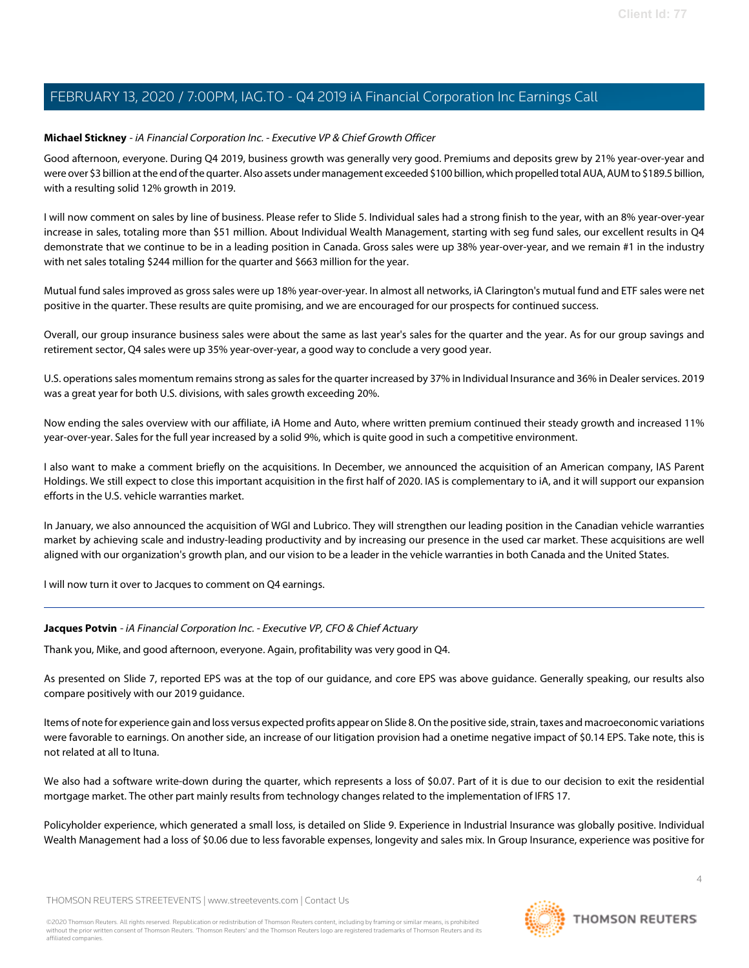# <span id="page-3-1"></span>**Michael Stickney** - iA Financial Corporation Inc. - Executive VP & Chief Growth Officer

Good afternoon, everyone. During Q4 2019, business growth was generally very good. Premiums and deposits grew by 21% year-over-year and were over \$3 billion at the end of the quarter. Also assets under management exceeded \$100 billion, which propelled total AUA, AUM to \$189.5 billion, with a resulting solid 12% growth in 2019.

I will now comment on sales by line of business. Please refer to Slide 5. Individual sales had a strong finish to the year, with an 8% year-over-year increase in sales, totaling more than \$51 million. About Individual Wealth Management, starting with seg fund sales, our excellent results in Q4 demonstrate that we continue to be in a leading position in Canada. Gross sales were up 38% year-over-year, and we remain #1 in the industry with net sales totaling \$244 million for the quarter and \$663 million for the year.

Mutual fund sales improved as gross sales were up 18% year-over-year. In almost all networks, iA Clarington's mutual fund and ETF sales were net positive in the quarter. These results are quite promising, and we are encouraged for our prospects for continued success.

Overall, our group insurance business sales were about the same as last year's sales for the quarter and the year. As for our group savings and retirement sector, Q4 sales were up 35% year-over-year, a good way to conclude a very good year.

U.S. operations sales momentum remains strong as sales for the quarter increased by 37% in Individual Insurance and 36% in Dealer services. 2019 was a great year for both U.S. divisions, with sales growth exceeding 20%.

Now ending the sales overview with our affiliate, iA Home and Auto, where written premium continued their steady growth and increased 11% year-over-year. Sales for the full year increased by a solid 9%, which is quite good in such a competitive environment.

I also want to make a comment briefly on the acquisitions. In December, we announced the acquisition of an American company, IAS Parent Holdings. We still expect to close this important acquisition in the first half of 2020. IAS is complementary to iA, and it will support our expansion efforts in the U.S. vehicle warranties market.

In January, we also announced the acquisition of WGI and Lubrico. They will strengthen our leading position in the Canadian vehicle warranties market by achieving scale and industry-leading productivity and by increasing our presence in the used car market. These acquisitions are well aligned with our organization's growth plan, and our vision to be a leader in the vehicle warranties in both Canada and the United States.

<span id="page-3-0"></span>I will now turn it over to Jacques to comment on Q4 earnings.

# **Jacques Potvin** - iA Financial Corporation Inc. - Executive VP, CFO & Chief Actuary

Thank you, Mike, and good afternoon, everyone. Again, profitability was very good in Q4.

As presented on Slide 7, reported EPS was at the top of our guidance, and core EPS was above guidance. Generally speaking, our results also compare positively with our 2019 guidance.

Items of note for experience gain and loss versus expected profits appear on Slide 8. On the positive side, strain, taxes and macroeconomic variations were favorable to earnings. On another side, an increase of our litigation provision had a onetime negative impact of \$0.14 EPS. Take note, this is not related at all to Ituna.

We also had a software write-down during the quarter, which represents a loss of \$0.07. Part of it is due to our decision to exit the residential mortgage market. The other part mainly results from technology changes related to the implementation of IFRS 17.

Policyholder experience, which generated a small loss, is detailed on Slide 9. Experience in Industrial Insurance was globally positive. Individual Wealth Management had a loss of \$0.06 due to less favorable expenses, longevity and sales mix. In Group Insurance, experience was positive for

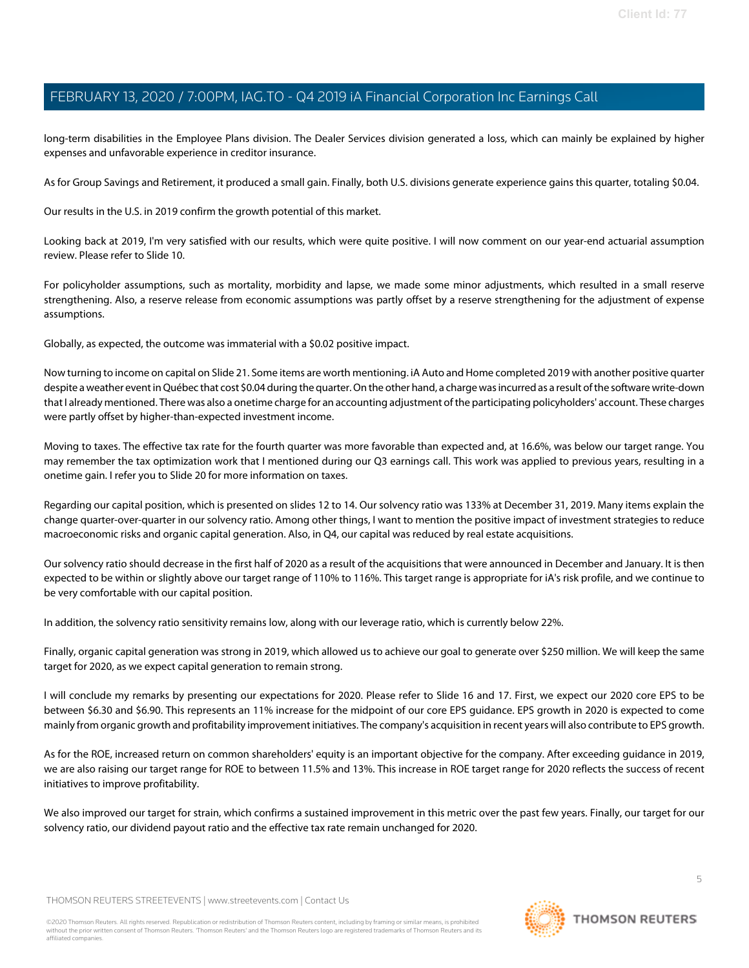long-term disabilities in the Employee Plans division. The Dealer Services division generated a loss, which can mainly be explained by higher expenses and unfavorable experience in creditor insurance.

As for Group Savings and Retirement, it produced a small gain. Finally, both U.S. divisions generate experience gains this quarter, totaling \$0.04.

Our results in the U.S. in 2019 confirm the growth potential of this market.

Looking back at 2019, I'm very satisfied with our results, which were quite positive. I will now comment on our year-end actuarial assumption review. Please refer to Slide 10.

For policyholder assumptions, such as mortality, morbidity and lapse, we made some minor adjustments, which resulted in a small reserve strengthening. Also, a reserve release from economic assumptions was partly offset by a reserve strengthening for the adjustment of expense assumptions.

Globally, as expected, the outcome was immaterial with a \$0.02 positive impact.

Now turning to income on capital on Slide 21. Some items are worth mentioning. iA Auto and Home completed 2019 with another positive quarter despite a weather event in Québec that cost \$0.04 during the quarter. On the other hand, a charge was incurred as a result of the software write-down that I already mentioned. There was also a onetime charge for an accounting adjustment of the participating policyholders' account. These charges were partly offset by higher-than-expected investment income.

Moving to taxes. The effective tax rate for the fourth quarter was more favorable than expected and, at 16.6%, was below our target range. You may remember the tax optimization work that I mentioned during our Q3 earnings call. This work was applied to previous years, resulting in a onetime gain. I refer you to Slide 20 for more information on taxes.

Regarding our capital position, which is presented on slides 12 to 14. Our solvency ratio was 133% at December 31, 2019. Many items explain the change quarter-over-quarter in our solvency ratio. Among other things, I want to mention the positive impact of investment strategies to reduce macroeconomic risks and organic capital generation. Also, in Q4, our capital was reduced by real estate acquisitions.

Our solvency ratio should decrease in the first half of 2020 as a result of the acquisitions that were announced in December and January. It is then expected to be within or slightly above our target range of 110% to 116%. This target range is appropriate for iA's risk profile, and we continue to be very comfortable with our capital position.

In addition, the solvency ratio sensitivity remains low, along with our leverage ratio, which is currently below 22%.

Finally, organic capital generation was strong in 2019, which allowed us to achieve our goal to generate over \$250 million. We will keep the same target for 2020, as we expect capital generation to remain strong.

I will conclude my remarks by presenting our expectations for 2020. Please refer to Slide 16 and 17. First, we expect our 2020 core EPS to be between \$6.30 and \$6.90. This represents an 11% increase for the midpoint of our core EPS guidance. EPS growth in 2020 is expected to come mainly from organic growth and profitability improvement initiatives. The company's acquisition in recent years will also contribute to EPS growth.

As for the ROE, increased return on common shareholders' equity is an important objective for the company. After exceeding guidance in 2019, we are also raising our target range for ROE to between 11.5% and 13%. This increase in ROE target range for 2020 reflects the success of recent initiatives to improve profitability.

We also improved our target for strain, which confirms a sustained improvement in this metric over the past few years. Finally, our target for our solvency ratio, our dividend payout ratio and the effective tax rate remain unchanged for 2020.

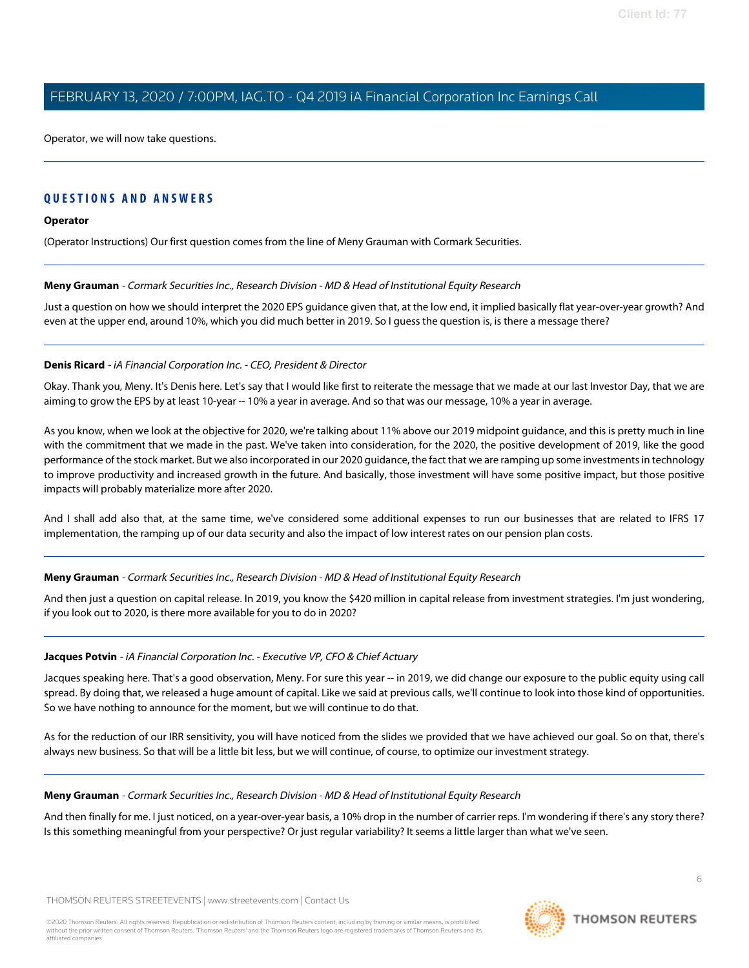Operator, we will now take questions.

# **QUESTIONS AND ANSWERS**

# **Operator**

<span id="page-5-0"></span>(Operator Instructions) Our first question comes from the line of Meny Grauman with Cormark Securities.

# **Meny Grauman** - Cormark Securities Inc., Research Division - MD & Head of Institutional Equity Research

Just a question on how we should interpret the 2020 EPS guidance given that, at the low end, it implied basically flat year-over-year growth? And even at the upper end, around 10%, which you did much better in 2019. So I guess the question is, is there a message there?

# **Denis Ricard** - iA Financial Corporation Inc. - CEO, President & Director

Okay. Thank you, Meny. It's Denis here. Let's say that I would like first to reiterate the message that we made at our last Investor Day, that we are aiming to grow the EPS by at least 10-year -- 10% a year in average. And so that was our message, 10% a year in average.

As you know, when we look at the objective for 2020, we're talking about 11% above our 2019 midpoint guidance, and this is pretty much in line with the commitment that we made in the past. We've taken into consideration, for the 2020, the positive development of 2019, like the good performance of the stock market. But we also incorporated in our 2020 guidance, the fact that we are ramping up some investments in technology to improve productivity and increased growth in the future. And basically, those investment will have some positive impact, but those positive impacts will probably materialize more after 2020.

And I shall add also that, at the same time, we've considered some additional expenses to run our businesses that are related to IFRS 17 implementation, the ramping up of our data security and also the impact of low interest rates on our pension plan costs.

# **Meny Grauman** - Cormark Securities Inc., Research Division - MD & Head of Institutional Equity Research

And then just a question on capital release. In 2019, you know the \$420 million in capital release from investment strategies. I'm just wondering, if you look out to 2020, is there more available for you to do in 2020?

#### **Jacques Potvin** - iA Financial Corporation Inc. - Executive VP, CFO & Chief Actuary

Jacques speaking here. That's a good observation, Meny. For sure this year -- in 2019, we did change our exposure to the public equity using call spread. By doing that, we released a huge amount of capital. Like we said at previous calls, we'll continue to look into those kind of opportunities. So we have nothing to announce for the moment, but we will continue to do that.

As for the reduction of our IRR sensitivity, you will have noticed from the slides we provided that we have achieved our goal. So on that, there's always new business. So that will be a little bit less, but we will continue, of course, to optimize our investment strategy.

#### **Meny Grauman** - Cormark Securities Inc., Research Division - MD & Head of Institutional Equity Research

And then finally for me. I just noticed, on a year-over-year basis, a 10% drop in the number of carrier reps. I'm wondering if there's any story there? Is this something meaningful from your perspective? Or just regular variability? It seems a little larger than what we've seen.

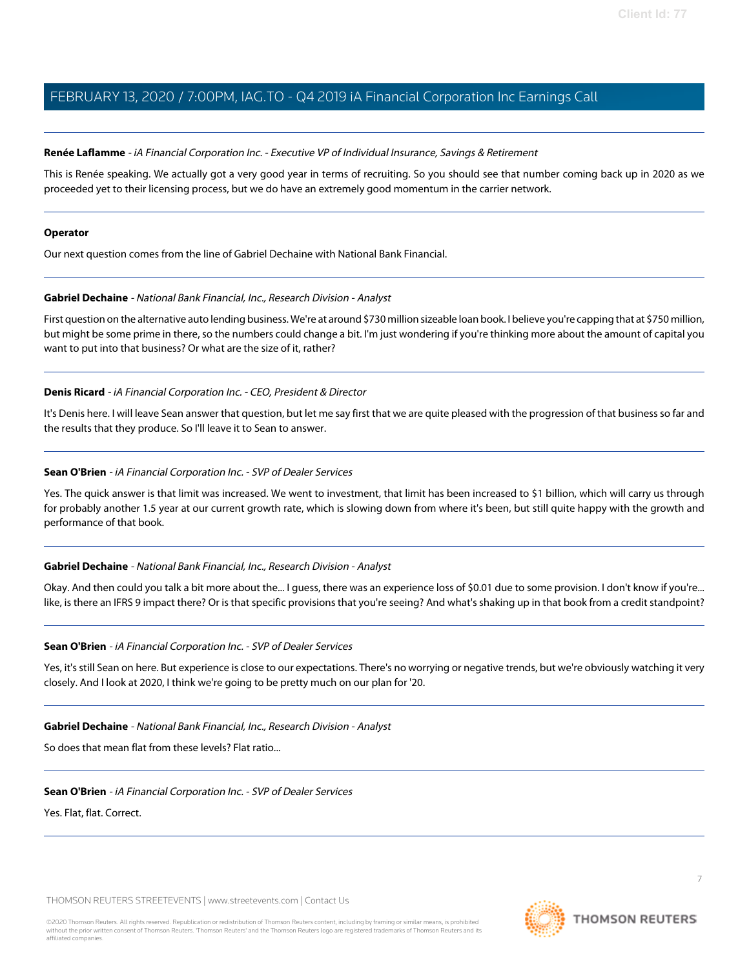# <span id="page-6-0"></span>**Renée Laflamme** - iA Financial Corporation Inc. - Executive VP of Individual Insurance, Savings & Retirement

This is Renée speaking. We actually got a very good year in terms of recruiting. So you should see that number coming back up in 2020 as we proceeded yet to their licensing process, but we do have an extremely good momentum in the carrier network.

#### **Operator**

<span id="page-6-2"></span>Our next question comes from the line of Gabriel Dechaine with National Bank Financial.

# **Gabriel Dechaine** - National Bank Financial, Inc., Research Division - Analyst

First question on the alternative auto lending business. We're at around \$730 million sizeable loan book. I believe you're capping that at \$750 million, but might be some prime in there, so the numbers could change a bit. I'm just wondering if you're thinking more about the amount of capital you want to put into that business? Or what are the size of it, rather?

# **Denis Ricard** - iA Financial Corporation Inc. - CEO, President & Director

<span id="page-6-1"></span>It's Denis here. I will leave Sean answer that question, but let me say first that we are quite pleased with the progression of that business so far and the results that they produce. So I'll leave it to Sean to answer.

# **Sean O'Brien** - iA Financial Corporation Inc. - SVP of Dealer Services

Yes. The quick answer is that limit was increased. We went to investment, that limit has been increased to \$1 billion, which will carry us through for probably another 1.5 year at our current growth rate, which is slowing down from where it's been, but still quite happy with the growth and performance of that book.

# **Gabriel Dechaine** - National Bank Financial, Inc., Research Division - Analyst

Okay. And then could you talk a bit more about the... I guess, there was an experience loss of \$0.01 due to some provision. I don't know if you're... like, is there an IFRS 9 impact there? Or is that specific provisions that you're seeing? And what's shaking up in that book from a credit standpoint?

# **Sean O'Brien** - iA Financial Corporation Inc. - SVP of Dealer Services

Yes, it's still Sean on here. But experience is close to our expectations. There's no worrying or negative trends, but we're obviously watching it very closely. And I look at 2020, I think we're going to be pretty much on our plan for '20.

**Gabriel Dechaine** - National Bank Financial, Inc., Research Division - Analyst

So does that mean flat from these levels? Flat ratio...

**Sean O'Brien** - iA Financial Corporation Inc. - SVP of Dealer Services

Yes. Flat, flat. Correct.

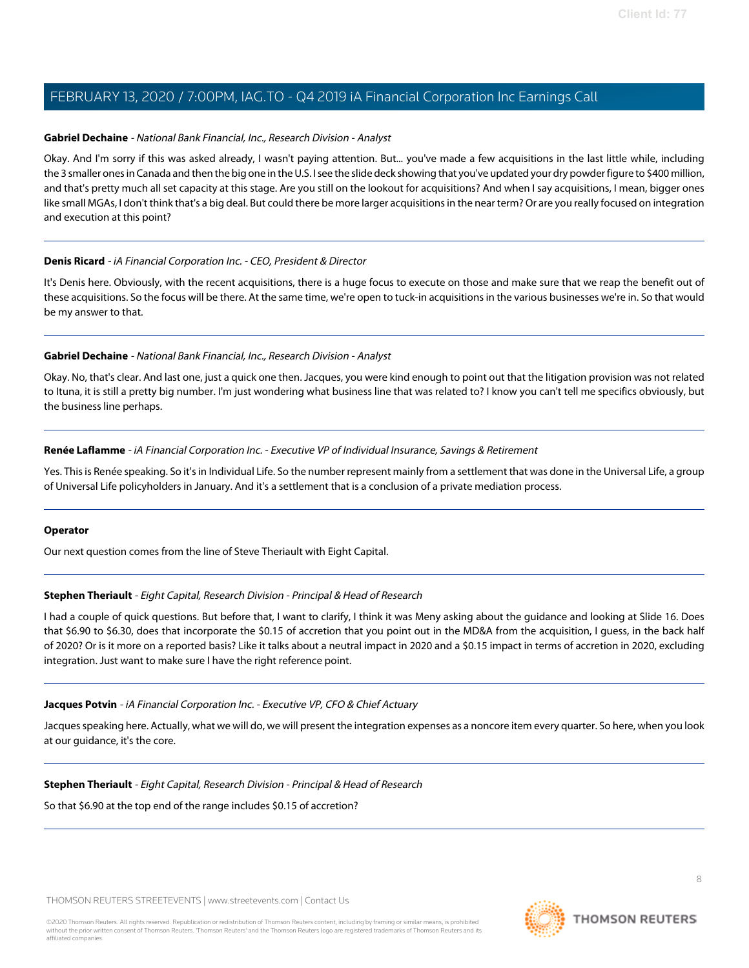# **Gabriel Dechaine** - National Bank Financial, Inc., Research Division - Analyst

Okay. And I'm sorry if this was asked already, I wasn't paying attention. But... you've made a few acquisitions in the last little while, including the 3 smaller ones in Canada and then the big one in the U.S. I see the slide deck showing that you've updated your dry powder figure to \$400 million, and that's pretty much all set capacity at this stage. Are you still on the lookout for acquisitions? And when I say acquisitions, I mean, bigger ones like small MGAs, I don't think that's a big deal. But could there be more larger acquisitions in the near term? Or are you really focused on integration and execution at this point?

# **Denis Ricard** - iA Financial Corporation Inc. - CEO, President & Director

It's Denis here. Obviously, with the recent acquisitions, there is a huge focus to execute on those and make sure that we reap the benefit out of these acquisitions. So the focus will be there. At the same time, we're open to tuck-in acquisitions in the various businesses we're in. So that would be my answer to that.

# **Gabriel Dechaine** - National Bank Financial, Inc., Research Division - Analyst

Okay. No, that's clear. And last one, just a quick one then. Jacques, you were kind enough to point out that the litigation provision was not related to Ituna, it is still a pretty big number. I'm just wondering what business line that was related to? I know you can't tell me specifics obviously, but the business line perhaps.

# **Renée Laflamme** - iA Financial Corporation Inc. - Executive VP of Individual Insurance, Savings & Retirement

Yes. This is Renée speaking. So it's in Individual Life. So the number represent mainly from a settlement that was done in the Universal Life, a group of Universal Life policyholders in January. And it's a settlement that is a conclusion of a private mediation process.

# <span id="page-7-0"></span>**Operator**

Our next question comes from the line of Steve Theriault with Eight Capital.

# **Stephen Theriault** - Eight Capital, Research Division - Principal & Head of Research

I had a couple of quick questions. But before that, I want to clarify, I think it was Meny asking about the guidance and looking at Slide 16. Does that \$6.90 to \$6.30, does that incorporate the \$0.15 of accretion that you point out in the MD&A from the acquisition, I guess, in the back half of 2020? Or is it more on a reported basis? Like it talks about a neutral impact in 2020 and a \$0.15 impact in terms of accretion in 2020, excluding integration. Just want to make sure I have the right reference point.

# **Jacques Potvin** - iA Financial Corporation Inc. - Executive VP, CFO & Chief Actuary

Jacques speaking here. Actually, what we will do, we will present the integration expenses as a noncore item every quarter. So here, when you look at our guidance, it's the core.

# **Stephen Theriault** - Eight Capital, Research Division - Principal & Head of Research

So that \$6.90 at the top end of the range includes \$0.15 of accretion?

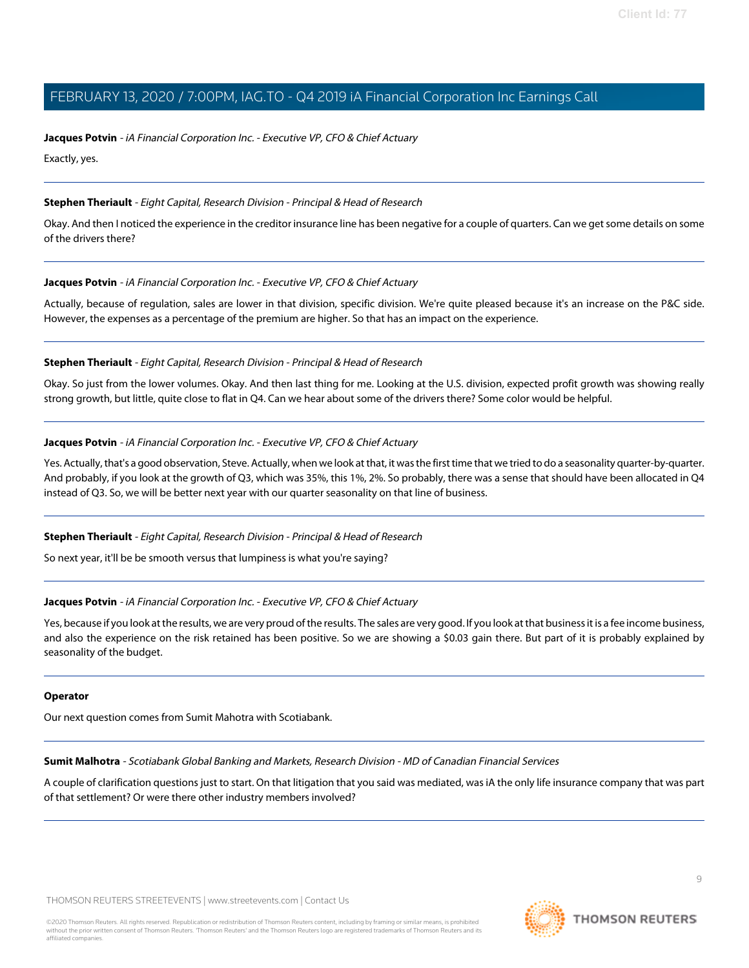# **Jacques Potvin** - iA Financial Corporation Inc. - Executive VP, CFO & Chief Actuary

Exactly, yes.

# **Stephen Theriault** - Eight Capital, Research Division - Principal & Head of Research

Okay. And then I noticed the experience in the creditor insurance line has been negative for a couple of quarters. Can we get some details on some of the drivers there?

# **Jacques Potvin** - iA Financial Corporation Inc. - Executive VP, CFO & Chief Actuary

Actually, because of regulation, sales are lower in that division, specific division. We're quite pleased because it's an increase on the P&C side. However, the expenses as a percentage of the premium are higher. So that has an impact on the experience.

# **Stephen Theriault** - Eight Capital, Research Division - Principal & Head of Research

Okay. So just from the lower volumes. Okay. And then last thing for me. Looking at the U.S. division, expected profit growth was showing really strong growth, but little, quite close to flat in Q4. Can we hear about some of the drivers there? Some color would be helpful.

# **Jacques Potvin** - iA Financial Corporation Inc. - Executive VP, CFO & Chief Actuary

Yes. Actually, that's a good observation, Steve. Actually, when we look at that, it was the first time that we tried to do a seasonality quarter-by-quarter. And probably, if you look at the growth of Q3, which was 35%, this 1%, 2%. So probably, there was a sense that should have been allocated in Q4 instead of Q3. So, we will be better next year with our quarter seasonality on that line of business.

# **Stephen Theriault** - Eight Capital, Research Division - Principal & Head of Research

So next year, it'll be be smooth versus that lumpiness is what you're saying?

# **Jacques Potvin** - iA Financial Corporation Inc. - Executive VP, CFO & Chief Actuary

Yes, because if you look at the results, we are very proud of the results. The sales are very good. If you look at that business it is a fee income business, and also the experience on the risk retained has been positive. So we are showing a \$0.03 gain there. But part of it is probably explained by seasonality of the budget.

# <span id="page-8-0"></span>**Operator**

Our next question comes from Sumit Mahotra with Scotiabank.

**Sumit Malhotra** - Scotiabank Global Banking and Markets, Research Division - MD of Canadian Financial Services

A couple of clarification questions just to start. On that litigation that you said was mediated, was iA the only life insurance company that was part of that settlement? Or were there other industry members involved?

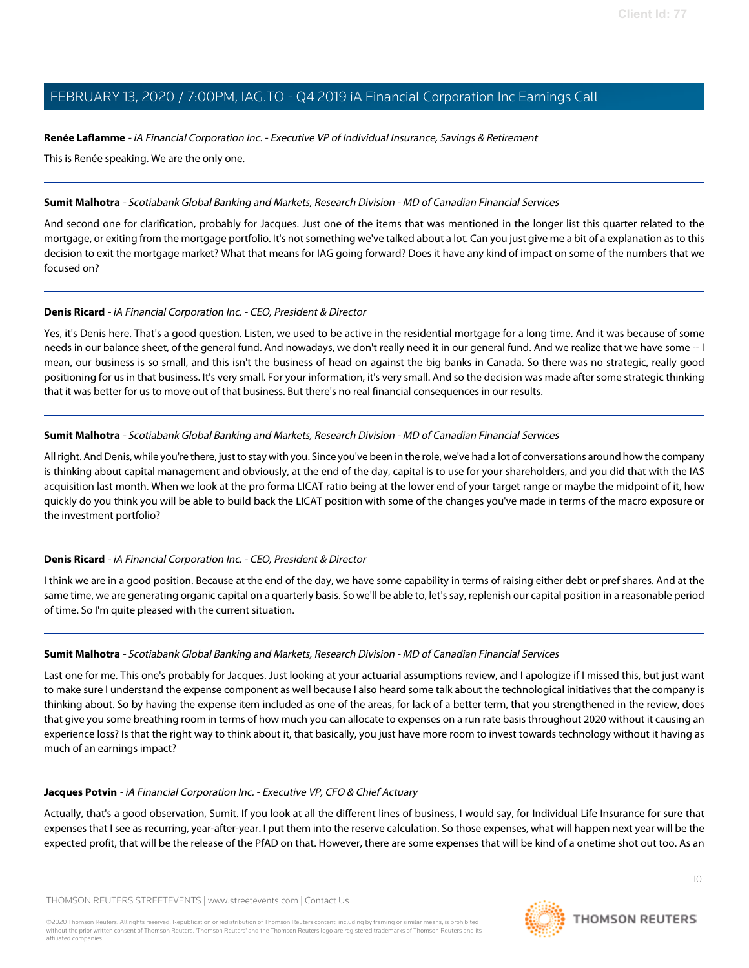# **Renée Laflamme** - iA Financial Corporation Inc. - Executive VP of Individual Insurance, Savings & Retirement

This is Renée speaking. We are the only one.

# **Sumit Malhotra** - Scotiabank Global Banking and Markets, Research Division - MD of Canadian Financial Services

And second one for clarification, probably for Jacques. Just one of the items that was mentioned in the longer list this quarter related to the mortgage, or exiting from the mortgage portfolio. It's not something we've talked about a lot. Can you just give me a bit of a explanation as to this decision to exit the mortgage market? What that means for IAG going forward? Does it have any kind of impact on some of the numbers that we focused on?

# **Denis Ricard** - iA Financial Corporation Inc. - CEO, President & Director

Yes, it's Denis here. That's a good question. Listen, we used to be active in the residential mortgage for a long time. And it was because of some needs in our balance sheet, of the general fund. And nowadays, we don't really need it in our general fund. And we realize that we have some -- I mean, our business is so small, and this isn't the business of head on against the big banks in Canada. So there was no strategic, really good positioning for us in that business. It's very small. For your information, it's very small. And so the decision was made after some strategic thinking that it was better for us to move out of that business. But there's no real financial consequences in our results.

# **Sumit Malhotra** - Scotiabank Global Banking and Markets, Research Division - MD of Canadian Financial Services

All right. And Denis, while you're there, just to stay with you. Since you've been in the role, we've had a lot of conversations around how the company is thinking about capital management and obviously, at the end of the day, capital is to use for your shareholders, and you did that with the IAS acquisition last month. When we look at the pro forma LICAT ratio being at the lower end of your target range or maybe the midpoint of it, how quickly do you think you will be able to build back the LICAT position with some of the changes you've made in terms of the macro exposure or the investment portfolio?

# **Denis Ricard** - iA Financial Corporation Inc. - CEO, President & Director

I think we are in a good position. Because at the end of the day, we have some capability in terms of raising either debt or pref shares. And at the same time, we are generating organic capital on a quarterly basis. So we'll be able to, let's say, replenish our capital position in a reasonable period of time. So I'm quite pleased with the current situation.

# **Sumit Malhotra** - Scotiabank Global Banking and Markets, Research Division - MD of Canadian Financial Services

Last one for me. This one's probably for Jacques. Just looking at your actuarial assumptions review, and I apologize if I missed this, but just want to make sure I understand the expense component as well because I also heard some talk about the technological initiatives that the company is thinking about. So by having the expense item included as one of the areas, for lack of a better term, that you strengthened in the review, does that give you some breathing room in terms of how much you can allocate to expenses on a run rate basis throughout 2020 without it causing an experience loss? Is that the right way to think about it, that basically, you just have more room to invest towards technology without it having as much of an earnings impact?

# **Jacques Potvin** - iA Financial Corporation Inc. - Executive VP, CFO & Chief Actuary

Actually, that's a good observation, Sumit. If you look at all the different lines of business, I would say, for Individual Life Insurance for sure that expenses that I see as recurring, year-after-year. I put them into the reserve calculation. So those expenses, what will happen next year will be the expected profit, that will be the release of the PfAD on that. However, there are some expenses that will be kind of a onetime shot out too. As an

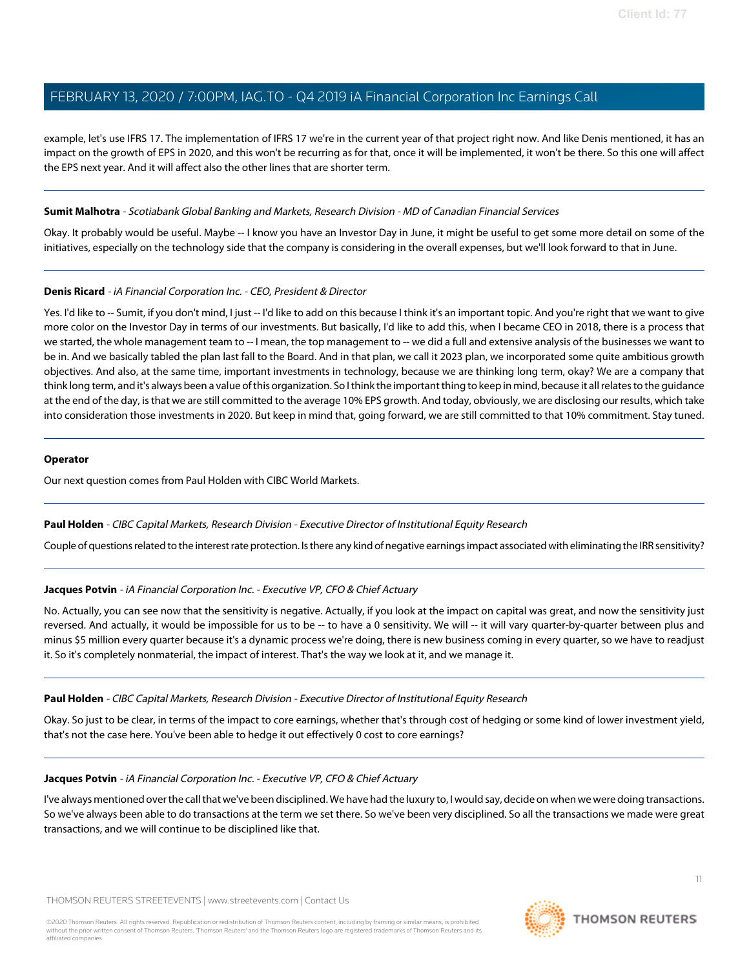example, let's use IFRS 17. The implementation of IFRS 17 we're in the current year of that project right now. And like Denis mentioned, it has an impact on the growth of EPS in 2020, and this won't be recurring as for that, once it will be implemented, it won't be there. So this one will affect the EPS next year. And it will affect also the other lines that are shorter term.

# **Sumit Malhotra** - Scotiabank Global Banking and Markets, Research Division - MD of Canadian Financial Services

Okay. It probably would be useful. Maybe -- I know you have an Investor Day in June, it might be useful to get some more detail on some of the initiatives, especially on the technology side that the company is considering in the overall expenses, but we'll look forward to that in June.

# **Denis Ricard** - iA Financial Corporation Inc. - CEO, President & Director

Yes. I'd like to -- Sumit, if you don't mind, I just -- I'd like to add on this because I think it's an important topic. And you're right that we want to give more color on the Investor Day in terms of our investments. But basically, I'd like to add this, when I became CEO in 2018, there is a process that we started, the whole management team to -- I mean, the top management to -- we did a full and extensive analysis of the businesses we want to be in. And we basically tabled the plan last fall to the Board. And in that plan, we call it 2023 plan, we incorporated some quite ambitious growth objectives. And also, at the same time, important investments in technology, because we are thinking long term, okay? We are a company that think long term, and it's always been a value of this organization. So I think the important thing to keep in mind, because it all relates to the guidance at the end of the day, is that we are still committed to the average 10% EPS growth. And today, obviously, we are disclosing our results, which take into consideration those investments in 2020. But keep in mind that, going forward, we are still committed to that 10% commitment. Stay tuned.

# **Operator**

<span id="page-10-0"></span>Our next question comes from Paul Holden with CIBC World Markets.

# **Paul Holden** - CIBC Capital Markets, Research Division - Executive Director of Institutional Equity Research

Couple of questions related to the interest rate protection. Is there any kind of negative earnings impact associated with eliminating the IRR sensitivity?

# **Jacques Potvin** - iA Financial Corporation Inc. - Executive VP, CFO & Chief Actuary

No. Actually, you can see now that the sensitivity is negative. Actually, if you look at the impact on capital was great, and now the sensitivity just reversed. And actually, it would be impossible for us to be -- to have a 0 sensitivity. We will -- it will vary quarter-by-quarter between plus and minus \$5 million every quarter because it's a dynamic process we're doing, there is new business coming in every quarter, so we have to readjust it. So it's completely nonmaterial, the impact of interest. That's the way we look at it, and we manage it.

# **Paul Holden** - CIBC Capital Markets, Research Division - Executive Director of Institutional Equity Research

Okay. So just to be clear, in terms of the impact to core earnings, whether that's through cost of hedging or some kind of lower investment yield, that's not the case here. You've been able to hedge it out effectively 0 cost to core earnings?

# **Jacques Potvin** - iA Financial Corporation Inc. - Executive VP, CFO & Chief Actuary

I've always mentioned over the call that we've been disciplined. We have had the luxury to, I would say, decide on when we were doing transactions. So we've always been able to do transactions at the term we set there. So we've been very disciplined. So all the transactions we made were great transactions, and we will continue to be disciplined like that.

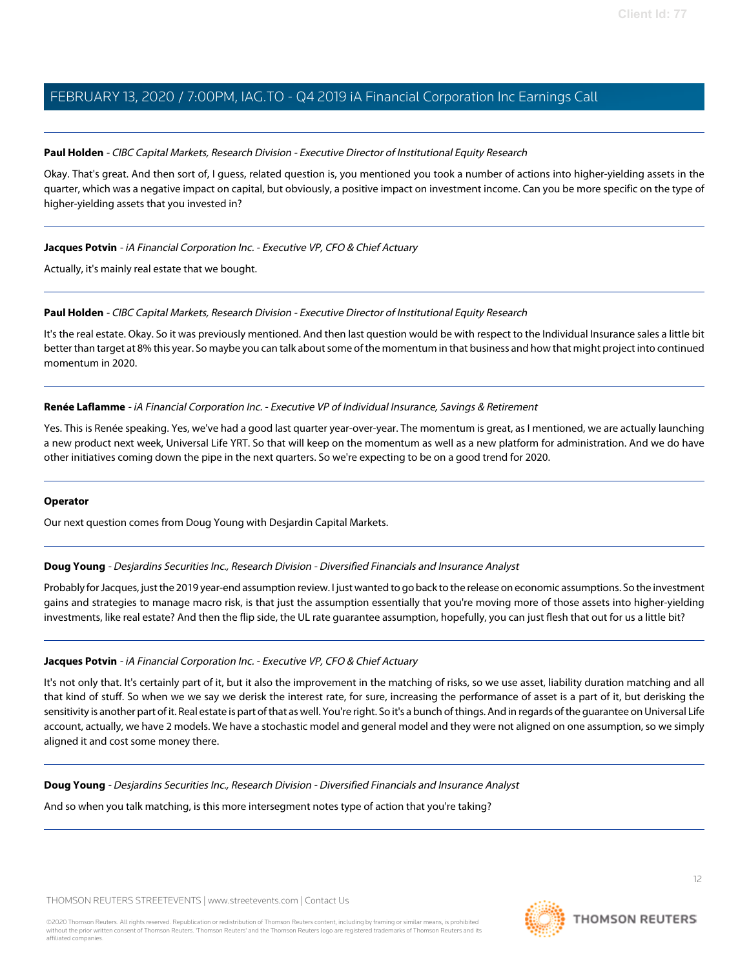# **Paul Holden** - CIBC Capital Markets, Research Division - Executive Director of Institutional Equity Research

Okay. That's great. And then sort of, I guess, related question is, you mentioned you took a number of actions into higher-yielding assets in the quarter, which was a negative impact on capital, but obviously, a positive impact on investment income. Can you be more specific on the type of higher-yielding assets that you invested in?

# **Jacques Potvin** - iA Financial Corporation Inc. - Executive VP, CFO & Chief Actuary

Actually, it's mainly real estate that we bought.

# **Paul Holden** - CIBC Capital Markets, Research Division - Executive Director of Institutional Equity Research

It's the real estate. Okay. So it was previously mentioned. And then last question would be with respect to the Individual Insurance sales a little bit better than target at 8% this year. So maybe you can talk about some of the momentum in that business and how that might project into continued momentum in 2020.

# **Renée Laflamme** - iA Financial Corporation Inc. - Executive VP of Individual Insurance, Savings & Retirement

Yes. This is Renée speaking. Yes, we've had a good last quarter year-over-year. The momentum is great, as I mentioned, we are actually launching a new product next week, Universal Life YRT. So that will keep on the momentum as well as a new platform for administration. And we do have other initiatives coming down the pipe in the next quarters. So we're expecting to be on a good trend for 2020.

# <span id="page-11-0"></span>**Operator**

Our next question comes from Doug Young with Desjardin Capital Markets.

# **Doug Young** - Desjardins Securities Inc., Research Division - Diversified Financials and Insurance Analyst

Probably for Jacques, just the 2019 year-end assumption review. I just wanted to go back to the release on economic assumptions. So the investment gains and strategies to manage macro risk, is that just the assumption essentially that you're moving more of those assets into higher-yielding investments, like real estate? And then the flip side, the UL rate guarantee assumption, hopefully, you can just flesh that out for us a little bit?

# **Jacques Potvin** - iA Financial Corporation Inc. - Executive VP, CFO & Chief Actuary

It's not only that. It's certainly part of it, but it also the improvement in the matching of risks, so we use asset, liability duration matching and all that kind of stuff. So when we we say we derisk the interest rate, for sure, increasing the performance of asset is a part of it, but derisking the sensitivity is another part of it. Real estate is part of that as well. You're right. So it's a bunch of things. And in regards of the guarantee on Universal Life account, actually, we have 2 models. We have a stochastic model and general model and they were not aligned on one assumption, so we simply aligned it and cost some money there.

**Doug Young** - Desjardins Securities Inc., Research Division - Diversified Financials and Insurance Analyst

And so when you talk matching, is this more intersegment notes type of action that you're taking?

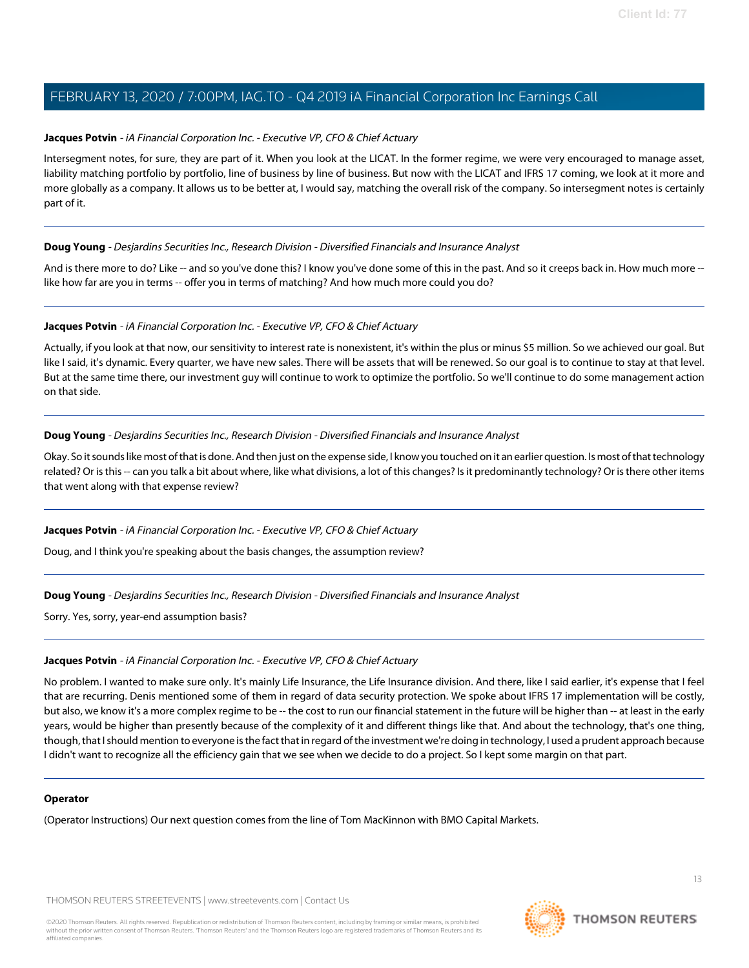# **Jacques Potvin** - iA Financial Corporation Inc. - Executive VP, CFO & Chief Actuary

Intersegment notes, for sure, they are part of it. When you look at the LICAT. In the former regime, we were very encouraged to manage asset, liability matching portfolio by portfolio, line of business by line of business. But now with the LICAT and IFRS 17 coming, we look at it more and more globally as a company. It allows us to be better at, I would say, matching the overall risk of the company. So intersegment notes is certainly part of it.

# **Doug Young** - Desjardins Securities Inc., Research Division - Diversified Financials and Insurance Analyst

And is there more to do? Like -- and so you've done this? I know you've done some of this in the past. And so it creeps back in. How much more -like how far are you in terms -- offer you in terms of matching? And how much more could you do?

# **Jacques Potvin** - iA Financial Corporation Inc. - Executive VP, CFO & Chief Actuary

Actually, if you look at that now, our sensitivity to interest rate is nonexistent, it's within the plus or minus \$5 million. So we achieved our goal. But like I said, it's dynamic. Every quarter, we have new sales. There will be assets that will be renewed. So our goal is to continue to stay at that level. But at the same time there, our investment guy will continue to work to optimize the portfolio. So we'll continue to do some management action on that side.

# **Doug Young** - Desjardins Securities Inc., Research Division - Diversified Financials and Insurance Analyst

Okay. So it sounds like most of that is done. And then just on the expense side, I know you touched on it an earlier question. Is most of that technology related? Or is this -- can you talk a bit about where, like what divisions, a lot of this changes? Is it predominantly technology? Or is there other items that went along with that expense review?

# **Jacques Potvin** - iA Financial Corporation Inc. - Executive VP, CFO & Chief Actuary

Doug, and I think you're speaking about the basis changes, the assumption review?

# **Doug Young** - Desjardins Securities Inc., Research Division - Diversified Financials and Insurance Analyst

Sorry. Yes, sorry, year-end assumption basis?

# **Jacques Potvin** - iA Financial Corporation Inc. - Executive VP, CFO & Chief Actuary

No problem. I wanted to make sure only. It's mainly Life Insurance, the Life Insurance division. And there, like I said earlier, it's expense that I feel that are recurring. Denis mentioned some of them in regard of data security protection. We spoke about IFRS 17 implementation will be costly, but also, we know it's a more complex regime to be -- the cost to run our financial statement in the future will be higher than -- at least in the early years, would be higher than presently because of the complexity of it and different things like that. And about the technology, that's one thing, though, that I should mention to everyone is the fact that in regard of the investment we're doing in technology, I used a prudent approach because I didn't want to recognize all the efficiency gain that we see when we decide to do a project. So I kept some margin on that part.

# **Operator**

(Operator Instructions) Our next question comes from the line of Tom MacKinnon with BMO Capital Markets.

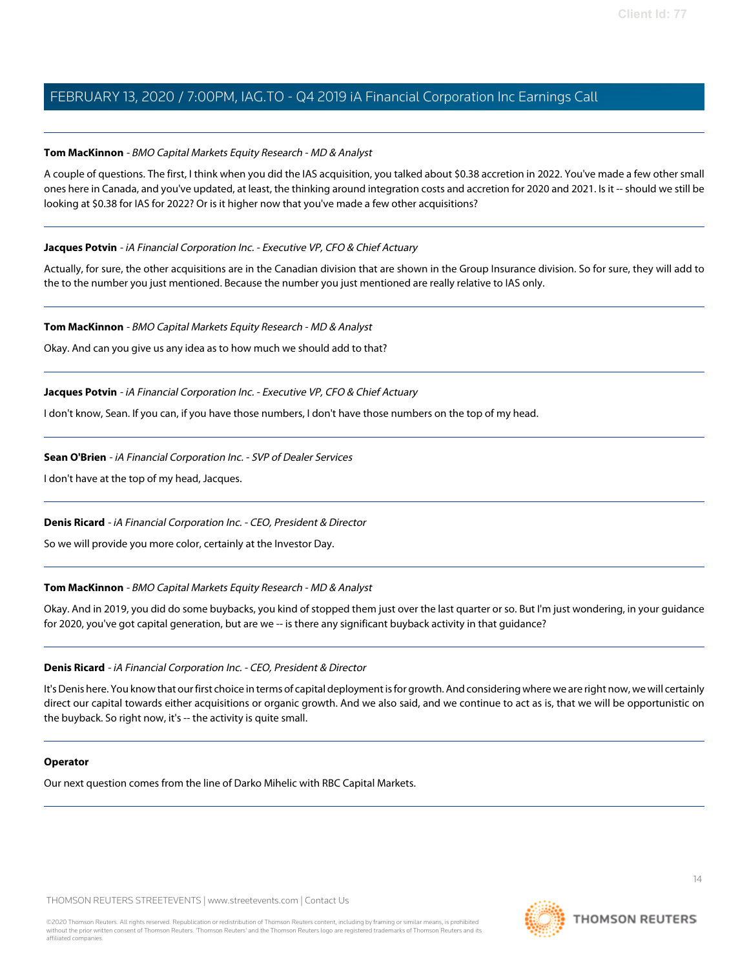# <span id="page-13-0"></span>**Tom MacKinnon** - BMO Capital Markets Equity Research - MD & Analyst

A couple of questions. The first, I think when you did the IAS acquisition, you talked about \$0.38 accretion in 2022. You've made a few other small ones here in Canada, and you've updated, at least, the thinking around integration costs and accretion for 2020 and 2021. Is it -- should we still be looking at \$0.38 for IAS for 2022? Or is it higher now that you've made a few other acquisitions?

# **Jacques Potvin** - iA Financial Corporation Inc. - Executive VP, CFO & Chief Actuary

Actually, for sure, the other acquisitions are in the Canadian division that are shown in the Group Insurance division. So for sure, they will add to the to the number you just mentioned. Because the number you just mentioned are really relative to IAS only.

# **Tom MacKinnon** - BMO Capital Markets Equity Research - MD & Analyst

Okay. And can you give us any idea as to how much we should add to that?

# **Jacques Potvin** - iA Financial Corporation Inc. - Executive VP, CFO & Chief Actuary

I don't know, Sean. If you can, if you have those numbers, I don't have those numbers on the top of my head.

# **Sean O'Brien** - iA Financial Corporation Inc. - SVP of Dealer Services

I don't have at the top of my head, Jacques.

# **Denis Ricard** - iA Financial Corporation Inc. - CEO, President & Director

So we will provide you more color, certainly at the Investor Day.

# **Tom MacKinnon** - BMO Capital Markets Equity Research - MD & Analyst

Okay. And in 2019, you did do some buybacks, you kind of stopped them just over the last quarter or so. But I'm just wondering, in your guidance for 2020, you've got capital generation, but are we -- is there any significant buyback activity in that guidance?

# **Denis Ricard** - iA Financial Corporation Inc. - CEO, President & Director

It's Denis here. You know that our first choice in terms of capital deployment is for growth. And considering where we are right now, we will certainly direct our capital towards either acquisitions or organic growth. And we also said, and we continue to act as is, that we will be opportunistic on the buyback. So right now, it's -- the activity is quite small.

# **Operator**

Our next question comes from the line of Darko Mihelic with RBC Capital Markets.

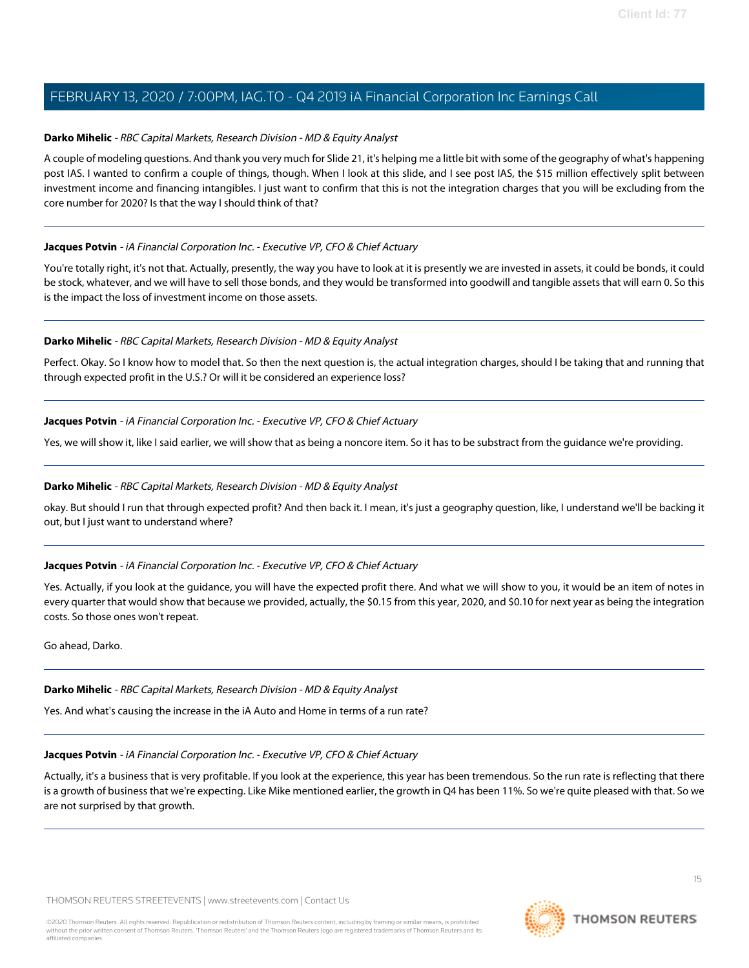# <span id="page-14-0"></span>**Darko Mihelic** - RBC Capital Markets, Research Division - MD & Equity Analyst

A couple of modeling questions. And thank you very much for Slide 21, it's helping me a little bit with some of the geography of what's happening post IAS. I wanted to confirm a couple of things, though. When I look at this slide, and I see post IAS, the \$15 million effectively split between investment income and financing intangibles. I just want to confirm that this is not the integration charges that you will be excluding from the core number for 2020? Is that the way I should think of that?

# **Jacques Potvin** - iA Financial Corporation Inc. - Executive VP, CFO & Chief Actuary

You're totally right, it's not that. Actually, presently, the way you have to look at it is presently we are invested in assets, it could be bonds, it could be stock, whatever, and we will have to sell those bonds, and they would be transformed into goodwill and tangible assets that will earn 0. So this is the impact the loss of investment income on those assets.

# **Darko Mihelic** - RBC Capital Markets, Research Division - MD & Equity Analyst

Perfect. Okay. So I know how to model that. So then the next question is, the actual integration charges, should I be taking that and running that through expected profit in the U.S.? Or will it be considered an experience loss?

# **Jacques Potvin** - iA Financial Corporation Inc. - Executive VP, CFO & Chief Actuary

Yes, we will show it, like I said earlier, we will show that as being a noncore item. So it has to be substract from the guidance we're providing.

# **Darko Mihelic** - RBC Capital Markets, Research Division - MD & Equity Analyst

okay. But should I run that through expected profit? And then back it. I mean, it's just a geography question, like, I understand we'll be backing it out, but I just want to understand where?

# **Jacques Potvin** - iA Financial Corporation Inc. - Executive VP, CFO & Chief Actuary

Yes. Actually, if you look at the guidance, you will have the expected profit there. And what we will show to you, it would be an item of notes in every quarter that would show that because we provided, actually, the \$0.15 from this year, 2020, and \$0.10 for next year as being the integration costs. So those ones won't repeat.

Go ahead, Darko.

# **Darko Mihelic** - RBC Capital Markets, Research Division - MD & Equity Analyst

Yes. And what's causing the increase in the iA Auto and Home in terms of a run rate?

# **Jacques Potvin** - iA Financial Corporation Inc. - Executive VP, CFO & Chief Actuary

Actually, it's a business that is very profitable. If you look at the experience, this year has been tremendous. So the run rate is reflecting that there is a growth of business that we're expecting. Like Mike mentioned earlier, the growth in Q4 has been 11%. So we're quite pleased with that. So we are not surprised by that growth.

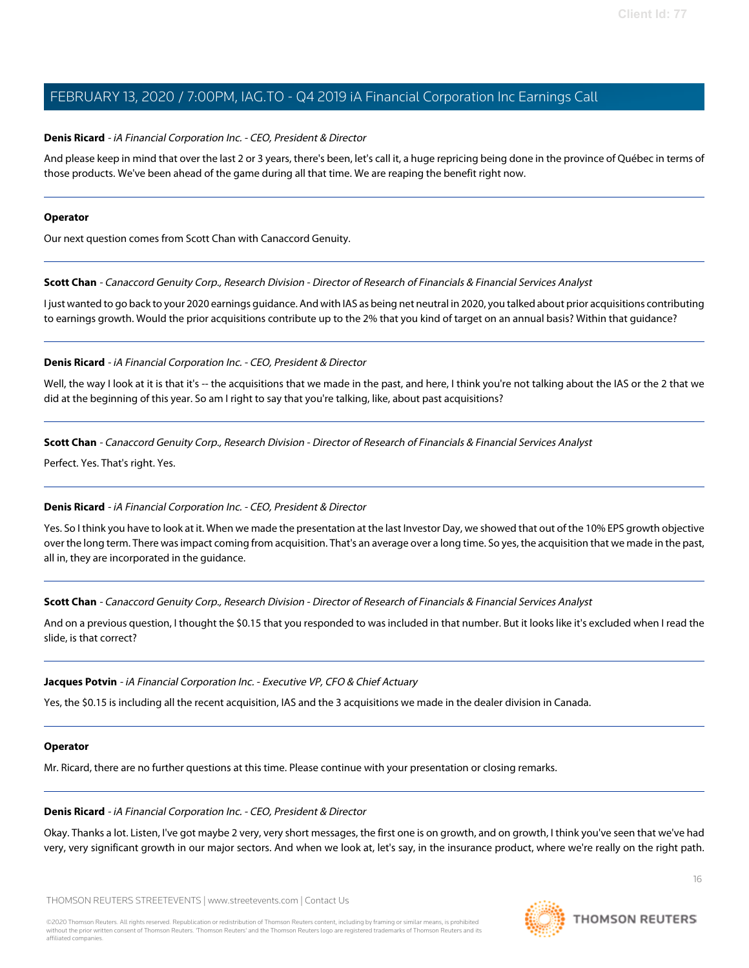# **Denis Ricard** - iA Financial Corporation Inc. - CEO, President & Director

And please keep in mind that over the last 2 or 3 years, there's been, let's call it, a huge repricing being done in the province of Québec in terms of those products. We've been ahead of the game during all that time. We are reaping the benefit right now.

#### **Operator**

<span id="page-15-0"></span>Our next question comes from Scott Chan with Canaccord Genuity.

**Scott Chan** - Canaccord Genuity Corp., Research Division - Director of Research of Financials & Financial Services Analyst

I just wanted to go back to your 2020 earnings guidance. And with IAS as being net neutral in 2020, you talked about prior acquisitions contributing to earnings growth. Would the prior acquisitions contribute up to the 2% that you kind of target on an annual basis? Within that guidance?

# **Denis Ricard** - iA Financial Corporation Inc. - CEO, President & Director

Well, the way I look at it is that it's -- the acquisitions that we made in the past, and here, I think you're not talking about the IAS or the 2 that we did at the beginning of this year. So am I right to say that you're talking, like, about past acquisitions?

**Scott Chan** - Canaccord Genuity Corp., Research Division - Director of Research of Financials & Financial Services Analyst

Perfect. Yes. That's right. Yes.

# **Denis Ricard** - iA Financial Corporation Inc. - CEO, President & Director

Yes. So I think you have to look at it. When we made the presentation at the last Investor Day, we showed that out of the 10% EPS growth objective over the long term. There was impact coming from acquisition. That's an average over a long time. So yes, the acquisition that we made in the past, all in, they are incorporated in the guidance.

**Scott Chan** - Canaccord Genuity Corp., Research Division - Director of Research of Financials & Financial Services Analyst

And on a previous question, I thought the \$0.15 that you responded to was included in that number. But it looks like it's excluded when I read the slide, is that correct?

# **Jacques Potvin** - iA Financial Corporation Inc. - Executive VP, CFO & Chief Actuary

Yes, the \$0.15 is including all the recent acquisition, IAS and the 3 acquisitions we made in the dealer division in Canada.

# **Operator**

Mr. Ricard, there are no further questions at this time. Please continue with your presentation or closing remarks.

# **Denis Ricard** - iA Financial Corporation Inc. - CEO, President & Director

Okay. Thanks a lot. Listen, I've got maybe 2 very, very short messages, the first one is on growth, and on growth, I think you've seen that we've had very, very significant growth in our major sectors. And when we look at, let's say, in the insurance product, where we're really on the right path.



16